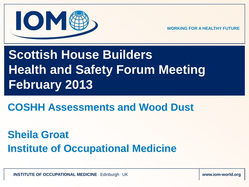

# **Scottish House Builders Health and Safety Forum Meeting February 2013**

**COSHH Assessments and Wood Dust**

**Sheila Groat Institute of Occupational Medicine**

**INSTITUTE OF OCCUPATIONAL MEDICINE Edinburgh · UK www.iom-world.org www.iom-world.org**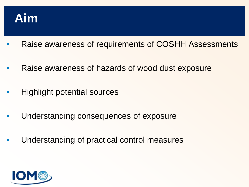

- Raise awareness of requirements of COSHH Assessments
- Raise awareness of hazards of wood dust exposure
- Highlight potential sources
- Understanding consequences of exposure
- Understanding of practical control measures

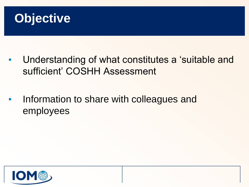

- Understanding of what constitutes a 'suitable and sufficient' COSHH Assessment
- Information to share with colleagues and employees

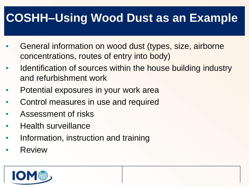#### **COSHH–Using Wood Dust as an Example**

- General information on wood dust (types, size, airborne concentrations, routes of entry into body)
- Identification of sources within the house building industry and refurbishment work
- Potential exposures in your work area
- Control measures in use and required
- Assessment of risks
- Health surveillance
- Information, instruction and training
- **Review**

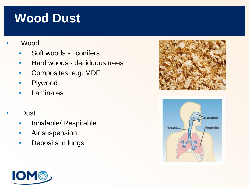## **Wood Dust**

- **Wood** 
	- Soft woods conifers
	- Hard woods deciduous trees
	- Composites, e.g. MDF
	- Plywood
	- Laminates
- Dust
	- Inhalable/ Respirable
	- Air suspension
	- Deposits in lungs





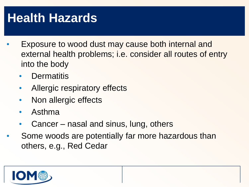# **Health Hazards**

- Exposure to wood dust may cause both internal and external health problems; i.e. consider all routes of entry into the body
	- **Dermatitis**
	- Allergic respiratory effects
	- Non allergic effects
	- Asthma
	- Cancer nasal and sinus, lung, others
- Some woods are potentially far more hazardous than others, e.g., Red Cedar

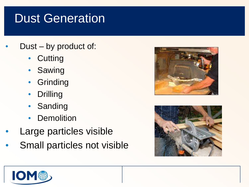## Dust Generation

- Dust by product of:
	- Cutting
	- Sawing
	- **Grinding**
	- Drilling
	- Sanding
	- **Demolition**
- Large particles visible
- Small particles not visible





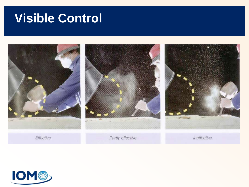#### **Visible Control**



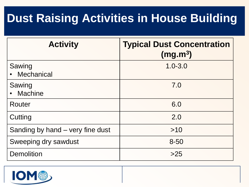#### **Dust Raising Activities in House Building**

| <b>Activity</b>                  | <b>Typical Dust Concentration</b><br>(mg.m <sup>3</sup> ) |
|----------------------------------|-----------------------------------------------------------|
| Sawing<br>Mechanical             | $1.0 - 3.0$                                               |
| Sawing<br><b>Machine</b>         | 7.0                                                       |
| Router                           | 6.0                                                       |
| Cutting                          | 2.0                                                       |
| Sanding by hand – very fine dust | >10                                                       |
| Sweeping dry sawdust             | $8 - 50$                                                  |
| <b>Demolition</b>                | >25                                                       |

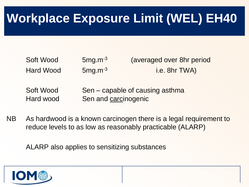# **Workplace Exposure Limit (WEL) EH40**

| Soft Wood          | $5mg.m-3$ | (averaged over 8hr period |
|--------------------|-----------|---------------------------|
| Hard Wood          | $5mg.m-3$ | i.e. 8hr TWA)             |
| $C0$ ft $M_{0}$ od |           | concele of cousing osthma |

- Soft Wood Sen capable of causing asthma Hard wood Sen and carcinogenic
- NB As hardwood is a known carcinogen there is a legal requirement to reduce levels to as low as reasonably practicable (ALARP)

ALARP also applies to sensitizing substances

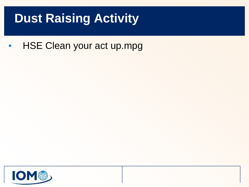# **Dust Raising Activity**

• HSE Clean your act up.mpg

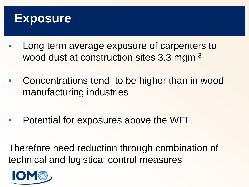#### **Exposure**

- Long term average exposure of carpenters to wood dust at construction sites 3.3 mgm<sup>-3</sup>
- Concentrations tend to be higher than in wood manufacturing industries
- Potential for exposures above the WEL

Therefore need reduction through combination of technical and logistical control measures

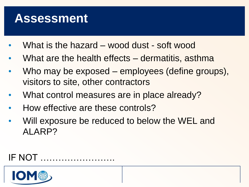#### **Assessment**

- What is the hazard wood dust soft wood
- What are the health effects dermatitis, asthma
- Who may be exposed employees (define groups), visitors to site, other contractors
- What control measures are in place already?
- How effective are these controls?
- Will exposure be reduced to below the WEL and ALARP?

#### IF NOT …………………….

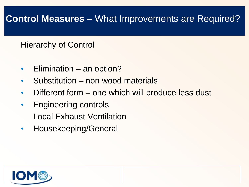#### **Control Measures** – What Improvements are Required?

#### Hierarchy of Control

- Elimination an option?
- Substitution non wood materials
- Different form one which will produce less dust
- Engineering controls Local Exhaust Ventilation
- Housekeeping/General

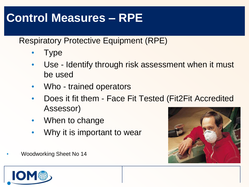#### **Control Measures – RPE**

Respiratory Protective Equipment (RPE)

- Type
- Use Identify through risk assessment when it must be used
- Who trained operators
- Does it fit them Face Fit Tested (Fit2Fit Accredited Assessor)
- When to change
- Why it is important to wear



• Woodworking Sheet No 14

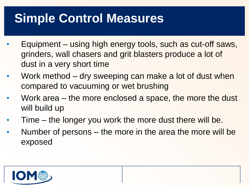# **Simple Control Measures**

- Equipment using high energy tools, such as cut-off saws, grinders, wall chasers and grit blasters produce a lot of dust in a very short time
- Work method dry sweeping can make a lot of dust when compared to vacuuming or wet brushing
- Work area the more enclosed a space, the more the dust will build up
- Time the longer you work the more dust there will be.
- Number of persons the more in the area the more will be exposed

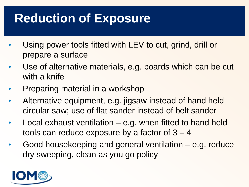# **Reduction of Exposure**

- Using power tools fitted with LEV to cut, grind, drill or prepare a surface
- Use of alternative materials, e.g. boards which can be cut with a knife
- Preparing material in a workshop
- Alternative equipment, e.g. jigsaw instead of hand held circular saw; use of flat sander instead of belt sander
- Local exhaust ventilation  $-$  e.g. when fitted to hand held tools can reduce exposure by a factor of  $3 - 4$
- Good housekeeping and general ventilation e.g. reduce dry sweeping, clean as you go policy

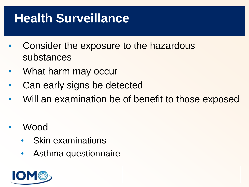# **Health Surveillance**

- Consider the exposure to the hazardous substances
- What harm may occur
- Can early signs be detected
- Will an examination be of benefit to those exposed
- Wood
	- **Skin examinations**
	- Asthma questionnaire

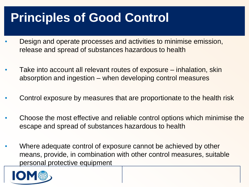# **Principles of Good Control**

- Design and operate processes and activities to minimise emission, release and spread of substances hazardous to health
- Take into account all relevant routes of exposure inhalation, skin absorption and ingestion – when developing control measures
- Control exposure by measures that are proportionate to the health risk
- Choose the most effective and reliable control options which minimise the escape and spread of substances hazardous to health
- Where adequate control of exposure cannot be achieved by other means, provide, in combination with other control measures, suitable personal protective equipment

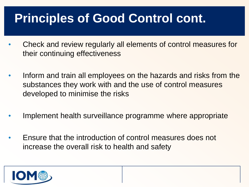# **Principles of Good Control cont.**

- Check and review regularly all elements of control measures for their continuing effectiveness
- Inform and train all employees on the hazards and risks from the substances they work with and the use of control measures developed to minimise the risks
- Implement health surveillance programme where appropriate
- Ensure that the introduction of control measures does not increase the overall risk to health and safety

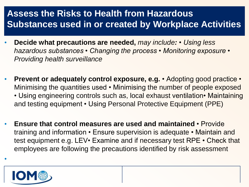#### **Assess the Risks to Health from Hazardous Substances used in or created by Workplace Activities**

- **Decide what precautions are needed,** *may include: Using less hazardous substances • Changing the process • Monitoring exposure • Providing health surveillance*
- **Prevent or adequately control exposure, e.g.**  Adopting good practice Minimising the quantities used • Minimising the number of people exposed • Using engineering controls such as, local exhaust ventilation• Maintaining and testing equipment • Using Personal Protective Equipment (PPE)
- **Ensure that control measures are used and maintained**  Provide training and information • Ensure supervision is adequate • Maintain and test equipment e.g. LEV• Examine and if necessary test RPE • Check that employees are following the precautions identified by risk assessment



•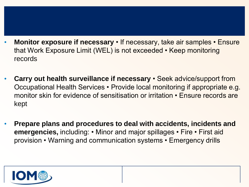- **Monitor exposure if necessary**  If necessary, take air samples Ensure that Work Exposure Limit (WEL) is not exceeded • Keep monitoring records
- **Carry out health surveillance if necessary**  Seek advice/support from Occupational Health Services • Provide local monitoring if appropriate e.g. monitor skin for evidence of sensitisation or irritation • Ensure records are kept
- **Prepare plans and procedures to deal with accidents, incidents and emergencies,** including: • Minor and major spillages • Fire • First aid provision • Warning and communication systems • Emergency drills

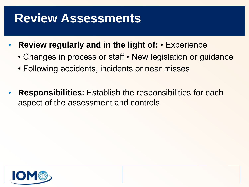#### **Review Assessments**

- **Review regularly and in the light of:**  Experience
	- Changes in process or staff New legislation or guidance
	- Following accidents, incidents or near misses
- **Responsibilities:** Establish the responsibilities for each aspect of the assessment and controls

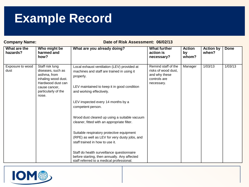#### **Example Record**

**Company Name:** Company Name: Date of Risk Assessment: 06/02/13

| What are the<br>hazards? | Who might be<br>harmed and<br>how?                                                                                                                | What are you already doing?                                                                                                                                                                                                                                                                                                                                                                                                                                                                                                                                                                                             | <b>What further</b><br>action is<br>necessary?                                            | <b>Action</b><br>by<br>whom? | <b>Action by</b><br>when? | <b>Done</b> |
|--------------------------|---------------------------------------------------------------------------------------------------------------------------------------------------|-------------------------------------------------------------------------------------------------------------------------------------------------------------------------------------------------------------------------------------------------------------------------------------------------------------------------------------------------------------------------------------------------------------------------------------------------------------------------------------------------------------------------------------------------------------------------------------------------------------------------|-------------------------------------------------------------------------------------------|------------------------------|---------------------------|-------------|
| Exposure to wood<br>dust | Staff risk lung<br>diseases, such as<br>asthma, from<br>inhaling wood dust.<br>Hardwood dust can<br>cause cancer,<br>particularly of the<br>nose. | Local exhaust ventilation (LEV) provided at<br>machines and staff are trained in using it<br>properly.<br>LEV maintained to keep it in good condition<br>and working effectively.<br>LEV inspected every 14 months by a<br>competent person.<br>Wood dust cleared up using a suitable vacuum<br>cleaner, fitted with an appropriate filter.<br>Suitable respiratory protective equipment<br>(RPE) as well as LEV for very dusty jobs, and<br>staff trained in how to use it.<br>Staff do health surveillance questionnaire<br>before starting, then annually. Any affected<br>staff referred to a medical professional. | Remind staff of the<br>risks of wood dust,<br>and why these<br>controls are<br>necessary. | Manager                      | 1/03/13                   | 1/03/13     |

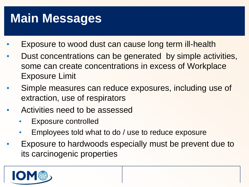# **Main Messages**

- Exposure to wood dust can cause long term ill-health
- Dust concentrations can be generated by simple activities, some can create concentrations in excess of Workplace Exposure Limit
- Simple measures can reduce exposures, including use of extraction, use of respirators
- Activities need to be assessed
	- Exposure controlled
	- Employees told what to do / use to reduce exposure
- Exposure to hardwoods especially must be prevent due to its carcinogenic properties

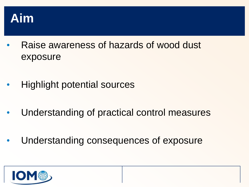

- Raise awareness of hazards of wood dust exposure
- Highlight potential sources
- Understanding of practical control measures
- Understanding consequences of exposure

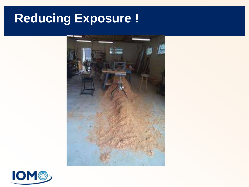#### **Reducing Exposure !**



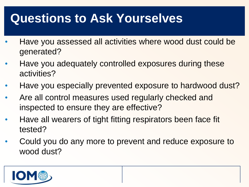## **Questions to Ask Yourselves**

- Have you assessed all activities where wood dust could be generated?
- Have you adequately controlled exposures during these activities?
- Have you especially prevented exposure to hardwood dust?
- Are all control measures used regularly checked and inspected to ensure they are effective?
- Have all wearers of tight fitting respirators been face fit tested?
- Could you do any more to prevent and reduce exposure to wood dust?

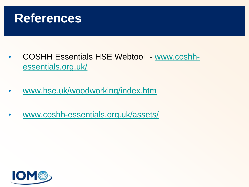

- COSHH Essentials HSE Webtool [www.coshh](http://www.coshh-essentials.org.uk/)[essentials.org.uk/](http://www.coshh-essentials.org.uk/)
- [www.hse.uk/woodworking/index.htm](http://www.hse.uk/woodworking/index.htm)
- [www.coshh-essentials.org.uk/assets/](http://www.coshh-essentials.org.uk/assets/)